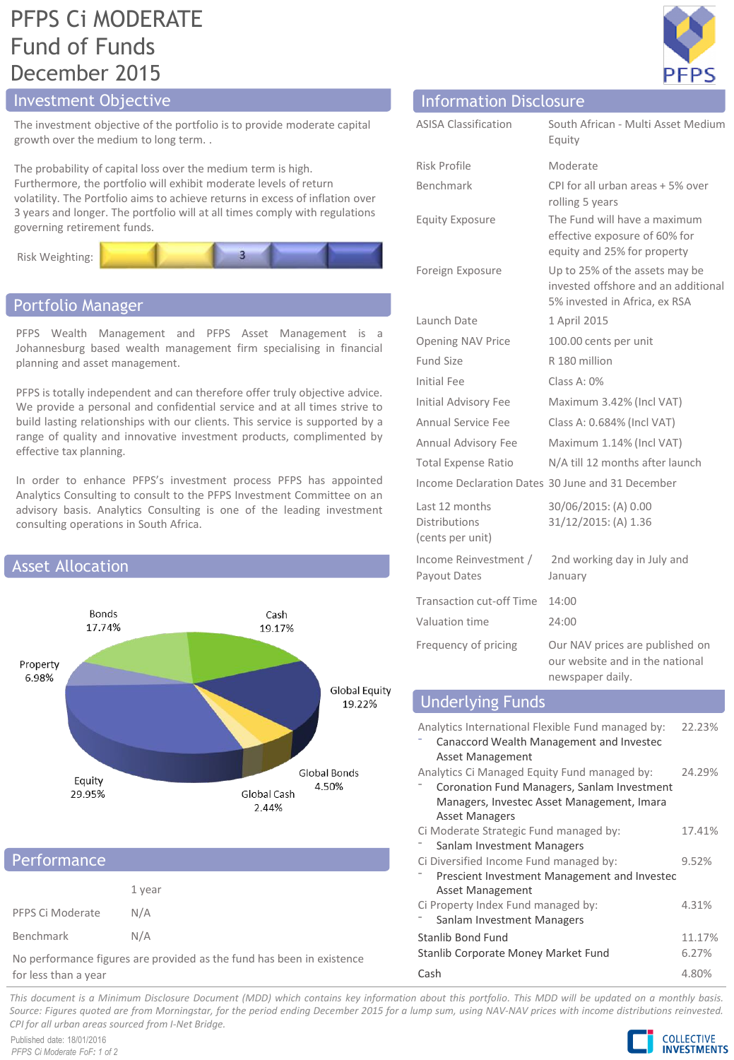## PFPS Ci MODERATE Fund of Funds December 2015

The investment objective of the portfolio is to provide moderate capital growth over the medium to long term. .

The probability of capital loss over the medium term is high. Furthermore, the portfolio will exhibit moderate levels of return volatility. The Portfolio aims to achieve returns in excess of inflation over 3 years and longer. The portfolio will at all times comply with regulations governing retirement funds.



### Portfolio Manager

PFPS Wealth Management and PFPS Asset Management is a Johannesburg based wealth management firm specialising in financial planning and asset management.

PFPS is totally independent and can therefore offer truly objective advice. We provide a personal and confidential service and at all times strive to build lasting relationships with our clients. This service is supported by a range of quality and innovative investment products, complimented by effective tax planning.

In order to enhance PFPS's investment process PFPS has appointed Analytics Consulting to consult to the PFPS Investment Committee on an advisory basis. Analytics Consulting is one of the leading investment consulting operations in South Africa.



## **Performance**

|                  | 1 year |
|------------------|--------|
| PFPS Ci Moderate | N/A    |
| Benchmark        | N/A    |

No performance figures are provided as the fund has been in existence for less than a year



## Investment Objective Information Disclosure

| <b>ASISA Classification</b>                         | South African - Multi Asset Medium<br>Equity                                                           |
|-----------------------------------------------------|--------------------------------------------------------------------------------------------------------|
| Risk Profile                                        | Moderate                                                                                               |
| Benchmark                                           | CPI for all urban areas + 5% over<br>rolling 5 years                                                   |
| <b>Equity Exposure</b>                              | The Fund will have a maximum<br>effective exposure of 60% for<br>equity and 25% for property           |
| Foreign Exposure                                    | Up to 25% of the assets may be<br>invested offshore and an additional<br>5% invested in Africa, ex RSA |
| Launch Date                                         | 1 April 2015                                                                                           |
| <b>Opening NAV Price</b>                            | 100.00 cents per unit                                                                                  |
| Fund Size                                           | R 180 million                                                                                          |
| <b>Initial Fee</b>                                  | Class A: $0\%$                                                                                         |
| Initial Advisory Fee                                | Maximum 3.42% (Incl VAT)                                                                               |
| Annual Service Fee                                  | Class A: 0.684% (Incl VAT)                                                                             |
| Annual Advisory Fee                                 | Maximum 1.14% (Incl VAT)                                                                               |
| <b>Total Expense Ratio</b>                          | N/A till 12 months after launch                                                                        |
|                                                     | Income Declaration Dates 30 June and 31 December                                                       |
| Last 12 months<br>Distributions<br>(cents per unit) | 30/06/2015: (A) 0.00<br>31/12/2015: (A) 1.36                                                           |
| Income Reinvestment /<br>Payout Dates               | 2nd working day in July and<br>January                                                                 |
| <b>Transaction cut-off Time</b>                     | 14:00                                                                                                  |
| Valuation time                                      | 74:00                                                                                                  |
| Frequency of pricing                                | Our NAV prices are published on<br>our website and in the national<br>newspaper daily.                 |

### Underlying Funds

| Analytics International Flexible Fund managed by:<br>Canaccord Wealth Management and Invested<br><b>Asset Management</b> | 22.23% |  |
|--------------------------------------------------------------------------------------------------------------------------|--------|--|
| Analytics Ci Managed Equity Fund managed by:                                                                             | 24.29% |  |
| Coronation Fund Managers, Sanlam Investment                                                                              |        |  |
| Managers, Investec Asset Management, Imara                                                                               |        |  |
| <b>Asset Managers</b>                                                                                                    |        |  |
| Ci Moderate Strategic Fund managed by:                                                                                   | 17.41% |  |
| Sanlam Investment Managers                                                                                               |        |  |
| Ci Diversified Income Fund managed by:                                                                                   | 9.52%  |  |
| Prescient Investment Management and Investec                                                                             |        |  |
| <b>Asset Management</b>                                                                                                  |        |  |
| Ci Property Index Fund managed by:                                                                                       | 4.31%  |  |
| Sanlam Investment Managers                                                                                               |        |  |
| Stanlib Bond Fund                                                                                                        | 11.17% |  |
| Stanlib Corporate Money Market Fund                                                                                      | 6.27%  |  |
| Cash                                                                                                                     | 4.80%  |  |

This document is a Minimum Disclosure Document (MDD) which contains key information about this portfolio. This MDD will be updated on a monthly basis. Source: Figures guoted are from Morningstar, for the period ending December 2015 for a lump sum, using NAV-NAV prices with income distributions reinvested. *CPI for all urban areas sourced from I-Net Bridge.*

Published date: 18/01/2016 *PFPS Ci Moderate FoF: 1 of 2*